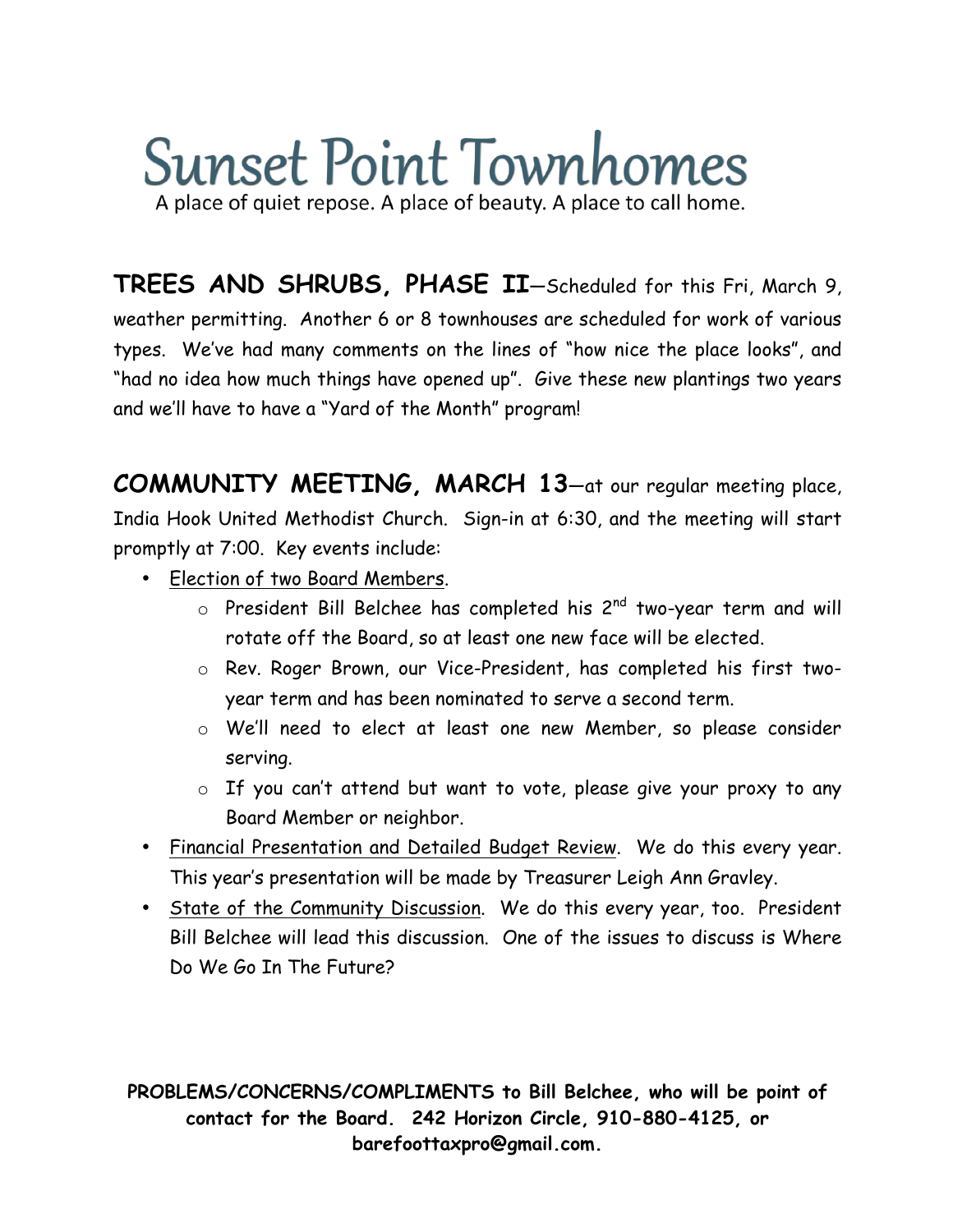## **Sunset Point Townhomes** A place of quiet repose. A place of beauty. A place to call home.

**TREES AND SHRUBS, PHASE II**—Scheduled for this Fri, March 9, weather permitting. Another 6 or 8 townhouses are scheduled for work of various types. We've had many comments on the lines of "how nice the place looks", and "had no idea how much things have opened up". Give these new plantings two years and we'll have to have a "Yard of the Month" program!

**COMMUNITY MEETING, MARCH 13**—at our regular meeting place, India Hook United Methodist Church. Sign-in at 6:30, and the meeting will start promptly at 7:00. Key events include:

- Election of two Board Members.
	- $\circ$  President Bill Belchee has completed his 2<sup>nd</sup> two-year term and will rotate off the Board, so at least one new face will be elected.
	- o Rev. Roger Brown, our Vice-President, has completed his first twoyear term and has been nominated to serve a second term.
	- o We'll need to elect at least one new Member, so please consider serving.
	- o If you can't attend but want to vote, please give your proxy to any Board Member or neighbor.
- Financial Presentation and Detailed Budget Review. We do this every year. This year's presentation will be made by Treasurer Leigh Ann Gravley.
- State of the Community Discussion. We do this every year, too. President Bill Belchee will lead this discussion. One of the issues to discuss is Where Do We Go In The Future?

**PROBLEMS/CONCERNS/COMPLIMENTS to Bill Belchee, who will be point of contact for the Board. 242 Horizon Circle, 910-880-4125, or barefoottaxpro@gmail.com.**